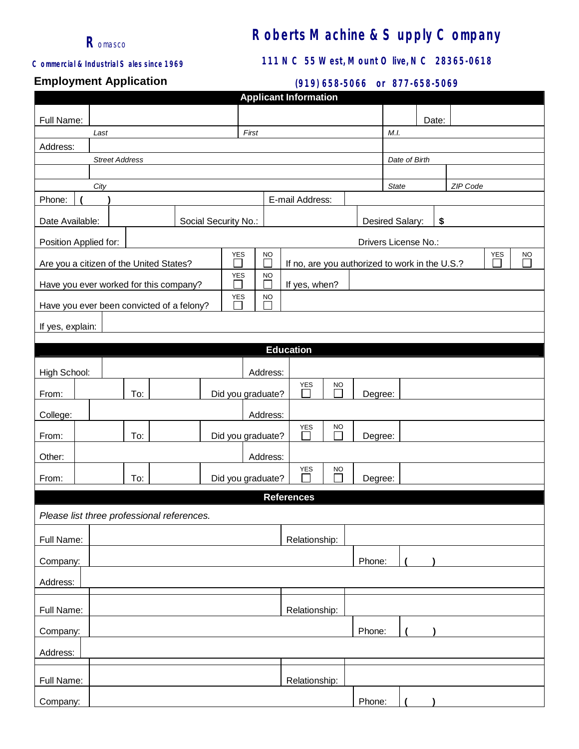

# **Roberts Machine & Supply Company**

#### *Commercial & Industrial Sales since 1969*

## **111 NC 55 West, Mount Olive, NC 28365-0618**

## **Employment Application**

#### **(919) 658-5066 or 877-658-5069**

| <b>Applicant Information</b>                                                                                                            |                                                                            |  |  |  |                                              |  |                                       |                       |                   |  |         |                          |  |               |       |  |  |  |  |  |
|-----------------------------------------------------------------------------------------------------------------------------------------|----------------------------------------------------------------------------|--|--|--|----------------------------------------------|--|---------------------------------------|-----------------------|-------------------|--|---------|--------------------------|--|---------------|-------|--|--|--|--|--|
| Full Name:                                                                                                                              |                                                                            |  |  |  |                                              |  |                                       |                       |                   |  |         |                          |  |               | Date: |  |  |  |  |  |
|                                                                                                                                         | Last                                                                       |  |  |  |                                              |  | First                                 |                       |                   |  |         |                          |  |               |       |  |  |  |  |  |
| Address:                                                                                                                                |                                                                            |  |  |  |                                              |  |                                       |                       |                   |  |         |                          |  |               |       |  |  |  |  |  |
|                                                                                                                                         | <b>Street Address</b>                                                      |  |  |  |                                              |  |                                       |                       |                   |  |         |                          |  | Date of Birth |       |  |  |  |  |  |
|                                                                                                                                         |                                                                            |  |  |  |                                              |  |                                       |                       |                   |  |         |                          |  |               |       |  |  |  |  |  |
|                                                                                                                                         | City                                                                       |  |  |  |                                              |  |                                       |                       |                   |  |         | ZIP Code<br><b>State</b> |  |               |       |  |  |  |  |  |
| Phone:                                                                                                                                  | E-mail Address:                                                            |  |  |  |                                              |  |                                       |                       |                   |  |         |                          |  |               |       |  |  |  |  |  |
| Date Available:                                                                                                                         | Social Security No.:                                                       |  |  |  |                                              |  |                                       | Desired Salary:<br>\$ |                   |  |         |                          |  |               |       |  |  |  |  |  |
| Drivers License No.:<br>Position Applied for:                                                                                           |                                                                            |  |  |  |                                              |  |                                       |                       |                   |  |         |                          |  |               |       |  |  |  |  |  |
| <b>YES</b><br><b>YES</b><br><b>NO</b><br>П<br>Are you a citizen of the United States?<br>If no, are you authorized to work in the U.S.? |                                                                            |  |  |  |                                              |  |                                       |                       |                   |  |         | <b>NO</b>                |  |               |       |  |  |  |  |  |
| YES<br><b>NO</b><br>П<br>Have you ever worked for this company?<br>If yes, when?                                                        |                                                                            |  |  |  |                                              |  |                                       |                       |                   |  |         |                          |  |               |       |  |  |  |  |  |
| YES<br>$\underline{\mathsf{NO}}$<br>Have you ever been convicted of a felony?                                                           |                                                                            |  |  |  |                                              |  |                                       |                       |                   |  |         |                          |  |               |       |  |  |  |  |  |
| If yes, explain:                                                                                                                        |                                                                            |  |  |  |                                              |  |                                       |                       |                   |  |         |                          |  |               |       |  |  |  |  |  |
|                                                                                                                                         |                                                                            |  |  |  |                                              |  |                                       |                       |                   |  |         |                          |  |               |       |  |  |  |  |  |
|                                                                                                                                         |                                                                            |  |  |  |                                              |  |                                       |                       | <b>Education</b>  |  |         |                          |  |               |       |  |  |  |  |  |
| High School:                                                                                                                            |                                                                            |  |  |  |                                              |  | Address:                              |                       |                   |  |         |                          |  |               |       |  |  |  |  |  |
| From:                                                                                                                                   | <b>YES</b><br>$\underline{NO}$<br>Г<br>To:<br>Did you graduate?<br>Degree: |  |  |  |                                              |  |                                       |                       |                   |  |         |                          |  |               |       |  |  |  |  |  |
| College:                                                                                                                                |                                                                            |  |  |  |                                              |  | Address:                              |                       |                   |  |         |                          |  |               |       |  |  |  |  |  |
| From:                                                                                                                                   | To:                                                                        |  |  |  |                                              |  | <b>YES</b><br>NO<br>Did you graduate? |                       |                   |  |         | Degree:                  |  |               |       |  |  |  |  |  |
| Other:                                                                                                                                  |                                                                            |  |  |  |                                              |  | Address:                              |                       |                   |  |         |                          |  |               |       |  |  |  |  |  |
| From:                                                                                                                                   | To:                                                                        |  |  |  | <b>YES</b><br><b>NO</b><br>Did you graduate? |  |                                       |                       |                   |  | Degree: |                          |  |               |       |  |  |  |  |  |
|                                                                                                                                         |                                                                            |  |  |  |                                              |  |                                       |                       | <b>References</b> |  |         |                          |  |               |       |  |  |  |  |  |
| Please list three professional references.                                                                                              |                                                                            |  |  |  |                                              |  |                                       |                       |                   |  |         |                          |  |               |       |  |  |  |  |  |
| Full Name:                                                                                                                              |                                                                            |  |  |  |                                              |  |                                       |                       | Relationship:     |  |         |                          |  |               |       |  |  |  |  |  |
| Company:                                                                                                                                |                                                                            |  |  |  |                                              |  |                                       |                       |                   |  |         | Phone:                   |  |               |       |  |  |  |  |  |
| Address:                                                                                                                                |                                                                            |  |  |  |                                              |  |                                       |                       |                   |  |         |                          |  |               |       |  |  |  |  |  |
|                                                                                                                                         |                                                                            |  |  |  |                                              |  |                                       |                       |                   |  |         |                          |  |               |       |  |  |  |  |  |
| Full Name:                                                                                                                              |                                                                            |  |  |  |                                              |  |                                       |                       | Relationship:     |  |         |                          |  |               |       |  |  |  |  |  |
| Company:                                                                                                                                |                                                                            |  |  |  |                                              |  |                                       |                       |                   |  |         | Phone:                   |  |               |       |  |  |  |  |  |
| Address:                                                                                                                                |                                                                            |  |  |  |                                              |  |                                       |                       |                   |  |         |                          |  |               |       |  |  |  |  |  |
| Full Name:                                                                                                                              |                                                                            |  |  |  |                                              |  |                                       |                       | Relationship:     |  |         |                          |  |               |       |  |  |  |  |  |
| Company:                                                                                                                                |                                                                            |  |  |  |                                              |  |                                       |                       |                   |  |         | Phone:                   |  |               |       |  |  |  |  |  |